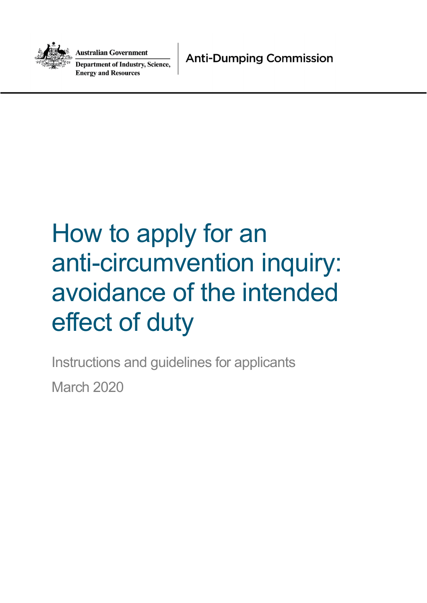

Australian Government

**Department of Industry, Science, Energy and Resources** 

**Anti-Dumping Commission** 

# How to apply for an anti-circumvention inquiry: avoidance of the intended effect of duty

Instructions and guidelines for applicants March 2020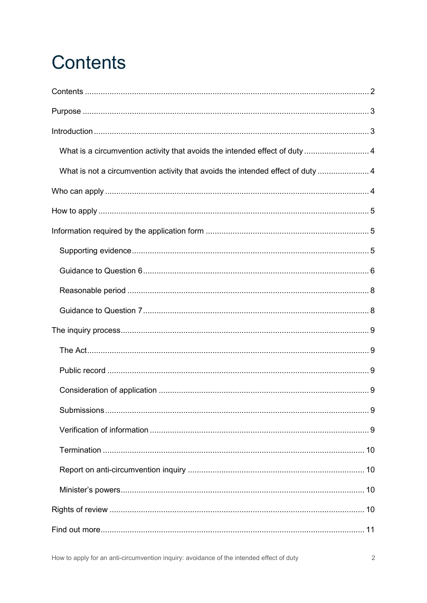# **Contents**

| What is a circumvention activity that avoids the intended effect of duty  4     |  |
|---------------------------------------------------------------------------------|--|
| What is not a circumvention activity that avoids the intended effect of duty  4 |  |
|                                                                                 |  |
|                                                                                 |  |
|                                                                                 |  |
|                                                                                 |  |
|                                                                                 |  |
|                                                                                 |  |
|                                                                                 |  |
|                                                                                 |  |
|                                                                                 |  |
|                                                                                 |  |
|                                                                                 |  |
|                                                                                 |  |
|                                                                                 |  |
|                                                                                 |  |
|                                                                                 |  |
|                                                                                 |  |
|                                                                                 |  |
|                                                                                 |  |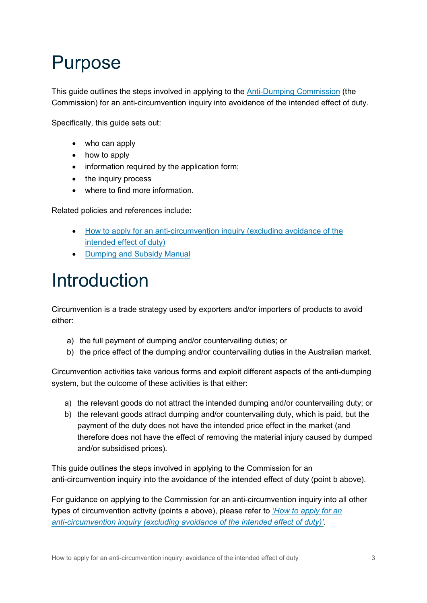### Purpose

This guide outlines the steps involved in applying to the Anti-Dumping Commission (the Commission) for an anti-circumvention inquiry into avoidance of the intended effect of duty.

Specifically, this guide sets out:

- who can apply
- how to apply
- information required by the application form;
- the inquiry process
- where to find more information.

Related policies and references include:

- How to apply for an anti-circumvention inquiry (excluding avoidance of the intended effect of duty)
- Dumping and Subsidy Manual

### Introduction

Circumvention is a trade strategy used by exporters and/or importers of products to avoid either:

- a) the full payment of dumping and/or countervailing duties; or
- b) the price effect of the dumping and/or countervailing duties in the Australian market.

Circumvention activities take various forms and exploit different aspects of the anti-dumping system, but the outcome of these activities is that either:

- a) the relevant goods do not attract the intended dumping and/or countervailing duty; or
- b) the relevant goods attract dumping and/or countervailing duty, which is paid, but the payment of the duty does not have the intended price effect in the market (and therefore does not have the effect of removing the material injury caused by dumped and/or subsidised prices).

This guide outlines the steps involved in applying to the Commission for an anti-circumvention inquiry into the avoidance of the intended effect of duty (point b above).

For guidance on applying to the Commission for an anti-circumvention inquiry into all other types of circumvention activity (points a above), please refer to *'How to apply for an anti-circumvention inquiry (excluding avoidance of the intended effect of duty)'*.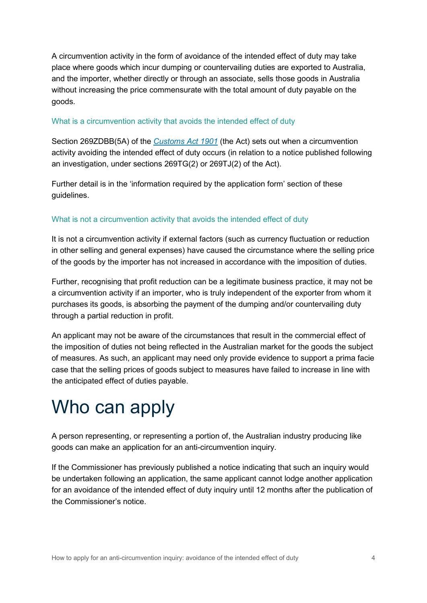A circumvention activity in the form of avoidance of the intended effect of duty may take place where goods which incur dumping or countervailing duties are exported to Australia, and the importer, whether directly or through an associate, sells those goods in Australia without increasing the price commensurate with the total amount of duty payable on the goods.

### What is a circumvention activity that avoids the intended effect of duty

Section 269ZDBB(5A) of the *Customs Act 1901* (the Act) sets out when a circumvention activity avoiding the intended effect of duty occurs (in relation to a notice published following an investigation, under sections 269TG(2) or 269TJ(2) of the Act).

Further detail is in the 'information required by the application form' section of these guidelines.

### What is not a circumvention activity that avoids the intended effect of duty

It is not a circumvention activity if external factors (such as currency fluctuation or reduction in other selling and general expenses) have caused the circumstance where the selling price of the goods by the importer has not increased in accordance with the imposition of duties.

Further, recognising that profit reduction can be a legitimate business practice, it may not be a circumvention activity if an importer, who is truly independent of the exporter from whom it purchases its goods, is absorbing the payment of the dumping and/or countervailing duty through a partial reduction in profit.

An applicant may not be aware of the circumstances that result in the commercial effect of the imposition of duties not being reflected in the Australian market for the goods the subject of measures. As such, an applicant may need only provide evidence to support a prima facie case that the selling prices of goods subject to measures have failed to increase in line with the anticipated effect of duties payable.

### Who can apply

A person representing, or representing a portion of, the Australian industry producing like goods can make an application for an anti-circumvention inquiry.

If the Commissioner has previously published a notice indicating that such an inquiry would be undertaken following an application, the same applicant cannot lodge another application for an avoidance of the intended effect of duty inquiry until 12 months after the publication of the Commissioner's notice.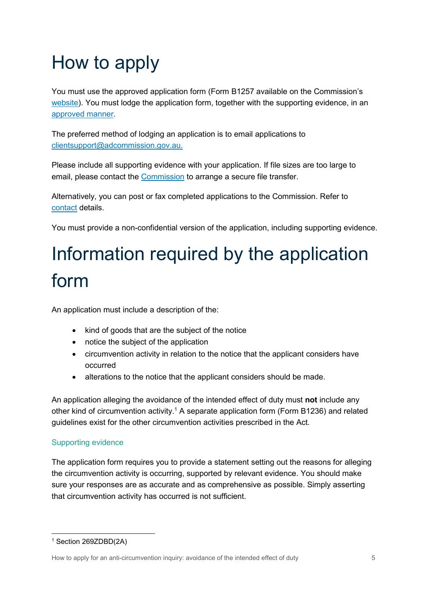# How to apply

You must use the approved application form (Form B1257 available on the Commission's website). You must lodge the application form, together with the supporting evidence, in an approved manner.

The preferred method of lodging an application is to email applications to clientsupport@adcommission.gov.au.

Please include all supporting evidence with your application. If file sizes are too large to email, please contact the Commission to arrange a secure file transfer.

Alternatively, you can post or fax completed applications to the Commission. Refer to contact details.

You must provide a non-confidential version of the application, including supporting evidence.

# Information required by the application form

An application must include a description of the:

- kind of goods that are the subject of the notice
- notice the subject of the application
- circumvention activity in relation to the notice that the applicant considers have occurred
- alterations to the notice that the applicant considers should be made.

An application alleging the avoidance of the intended effect of duty must **not** include any other kind of circumvention activity.<sup>1</sup> A separate application form (Form B1236) and related guidelines exist for the other circumvention activities prescribed in the Act.

### Supporting evidence

The application form requires you to provide a statement setting out the reasons for alleging the circumvention activity is occurring, supported by relevant evidence. You should make sure your responses are as accurate and as comprehensive as possible. Simply asserting that circumvention activity has occurred is not sufficient.

<sup>1</sup> Section 269ZDBD(2A)

How to apply for an anti-circumvention inquiry: avoidance of the intended effect of duty 5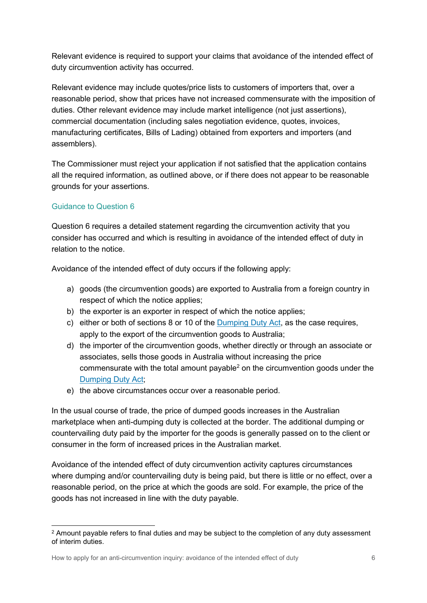Relevant evidence is required to support your claims that avoidance of the intended effect of duty circumvention activity has occurred.

Relevant evidence may include quotes/price lists to customers of importers that, over a reasonable period, show that prices have not increased commensurate with the imposition of duties. Other relevant evidence may include market intelligence (not just assertions), commercial documentation (including sales negotiation evidence, quotes, invoices, manufacturing certificates, Bills of Lading) obtained from exporters and importers (and assemblers).

The Commissioner must reject your application if not satisfied that the application contains all the required information, as outlined above, or if there does not appear to be reasonable grounds for your assertions.

### Guidance to Question 6

Question 6 requires a detailed statement regarding the circumvention activity that you consider has occurred and which is resulting in avoidance of the intended effect of duty in relation to the notice.

Avoidance of the intended effect of duty occurs if the following apply:

- a) goods (the circumvention goods) are exported to Australia from a foreign country in respect of which the notice applies;
- b) the exporter is an exporter in respect of which the notice applies;
- c) either or both of sections 8 or 10 of the Dumping Duty Act, as the case requires, apply to the export of the circumvention goods to Australia;
- d) the importer of the circumvention goods, whether directly or through an associate or associates, sells those goods in Australia without increasing the price commensurate with the total amount payable<sup>2</sup> on the circumvention goods under the Dumping Duty Act;
- e) the above circumstances occur over a reasonable period.

In the usual course of trade, the price of dumped goods increases in the Australian marketplace when anti-dumping duty is collected at the border. The additional dumping or countervailing duty paid by the importer for the goods is generally passed on to the client or consumer in the form of increased prices in the Australian market.

Avoidance of the intended effect of duty circumvention activity captures circumstances where dumping and/or countervailing duty is being paid, but there is little or no effect, over a reasonable period, on the price at which the goods are sold. For example, the price of the goods has not increased in line with the duty payable.

 $^2$  Amount payable refers to final duties and may be subject to the completion of any duty assessment of interim duties.

How to apply for an anti-circumvention inquiry: avoidance of the intended effect of duty 6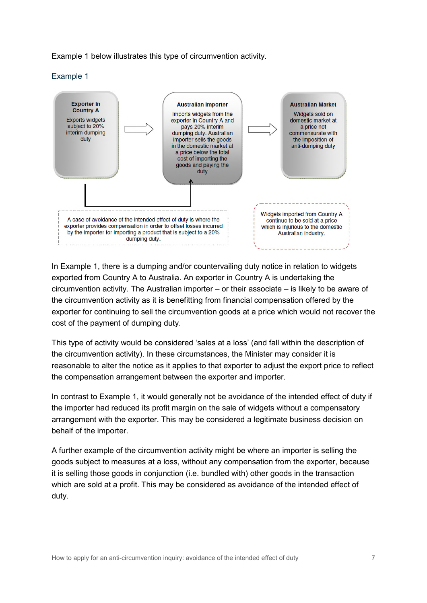Example 1 below illustrates this type of circumvention activity.

Example 1



In Example 1, there is a dumping and/or countervailing duty notice in relation to widgets exported from Country A to Australia. An exporter in Country A is undertaking the circumvention activity. The Australian importer – or their associate – is likely to be aware of the circumvention activity as it is benefitting from financial compensation offered by the exporter for continuing to sell the circumvention goods at a price which would not recover the cost of the payment of dumping duty.

This type of activity would be considered 'sales at a loss' (and fall within the description of the circumvention activity). In these circumstances, the Minister may consider it is reasonable to alter the notice as it applies to that exporter to adjust the export price to reflect the compensation arrangement between the exporter and importer.

In contrast to Example 1, it would generally not be avoidance of the intended effect of duty if the importer had reduced its profit margin on the sale of widgets without a compensatory arrangement with the exporter. This may be considered a legitimate business decision on behalf of the importer.

A further example of the circumvention activity might be where an importer is selling the goods subject to measures at a loss, without any compensation from the exporter, because it is selling those goods in conjunction (i.e. bundled with) other goods in the transaction which are sold at a profit. This may be considered as avoidance of the intended effect of duty.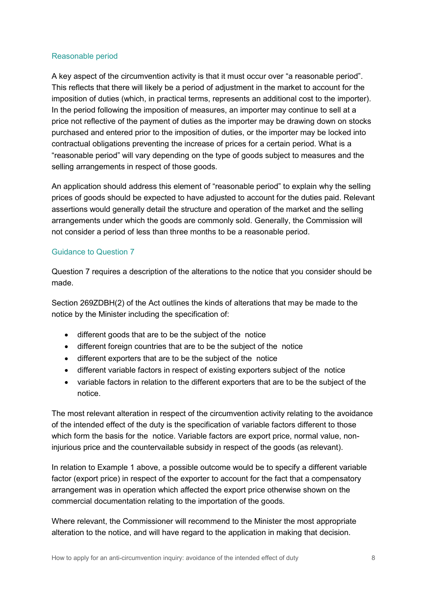### Reasonable period

A key aspect of the circumvention activity is that it must occur over "a reasonable period". This reflects that there will likely be a period of adjustment in the market to account for the imposition of duties (which, in practical terms, represents an additional cost to the importer). In the period following the imposition of measures, an importer may continue to sell at a price not reflective of the payment of duties as the importer may be drawing down on stocks purchased and entered prior to the imposition of duties, or the importer may be locked into contractual obligations preventing the increase of prices for a certain period. What is a "reasonable period" will vary depending on the type of goods subject to measures and the selling arrangements in respect of those goods.

An application should address this element of "reasonable period" to explain why the selling prices of goods should be expected to have adjusted to account for the duties paid. Relevant assertions would generally detail the structure and operation of the market and the selling arrangements under which the goods are commonly sold. Generally, the Commission will not consider a period of less than three months to be a reasonable period.

### Guidance to Question 7

Question 7 requires a description of the alterations to the notice that you consider should be made.

Section 269ZDBH(2) of the Act outlines the kinds of alterations that may be made to the notice by the Minister including the specification of:

- different goods that are to be the subject of the notice
- different foreign countries that are to be the subject of the notice
- different exporters that are to be the subject of the notice
- different variable factors in respect of existing exporters subject of the notice
- variable factors in relation to the different exporters that are to be the subject of the notice.

The most relevant alteration in respect of the circumvention activity relating to the avoidance of the intended effect of the duty is the specification of variable factors different to those which form the basis for the notice. Variable factors are export price, normal value, noninjurious price and the countervailable subsidy in respect of the goods (as relevant).

In relation to Example 1 above, a possible outcome would be to specify a different variable factor (export price) in respect of the exporter to account for the fact that a compensatory arrangement was in operation which affected the export price otherwise shown on the commercial documentation relating to the importation of the goods.

Where relevant, the Commissioner will recommend to the Minister the most appropriate alteration to the notice, and will have regard to the application in making that decision.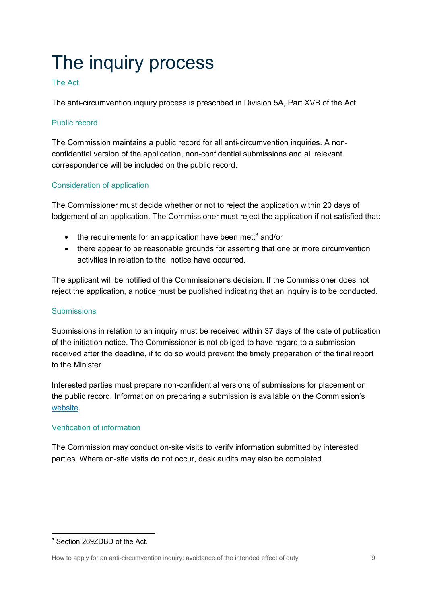# The inquiry process

### The Act

The anti-circumvention inquiry process is prescribed in Division 5A, Part XVB of the Act.

### Public record

The Commission maintains a public record for all anti-circumvention inquiries. A nonconfidential version of the application, non-confidential submissions and all relevant correspondence will be included on the public record.

### Consideration of application

The Commissioner must decide whether or not to reject the application within 20 days of lodgement of an application. The Commissioner must reject the application if not satisfied that:

- $\bullet$  the requirements for an application have been met;<sup>3</sup> and/or
- there appear to be reasonable grounds for asserting that one or more circumvention activities in relation to the notice have occurred.

The applicant will be notified of the Commissioner's decision. If the Commissioner does not reject the application, a notice must be published indicating that an inquiry is to be conducted.

### **Submissions**

Submissions in relation to an inquiry must be received within 37 days of the date of publication of the initiation notice. The Commissioner is not obliged to have regard to a submission received after the deadline, if to do so would prevent the timely preparation of the final report to the Minister.

Interested parties must prepare non-confidential versions of submissions for placement on the public record. Information on preparing a submission is available on the Commission's website.

### Verification of information

The Commission may conduct on-site visits to verify information submitted by interested parties. Where on-site visits do not occur, desk audits may also be completed.

<sup>3</sup> Section 269ZDBD of the Act.

How to apply for an anti-circumvention inquiry: avoidance of the intended effect of duty 9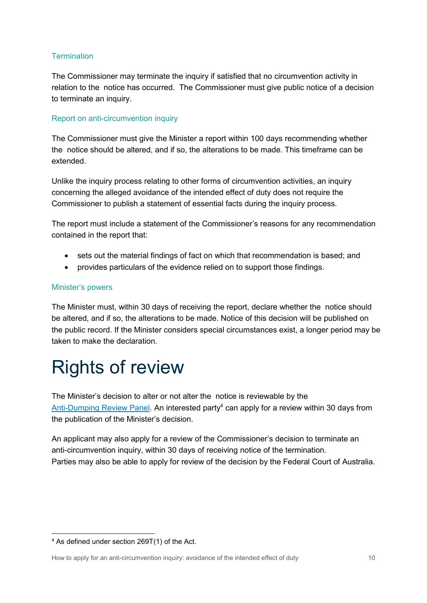### **Termination**

The Commissioner may terminate the inquiry if satisfied that no circumvention activity in relation to the notice has occurred. The Commissioner must give public notice of a decision to terminate an inquiry.

### Report on anti-circumvention inquiry

The Commissioner must give the Minister a report within 100 days recommending whether the notice should be altered, and if so, the alterations to be made. This timeframe can be extended.

Unlike the inquiry process relating to other forms of circumvention activities, an inquiry concerning the alleged avoidance of the intended effect of duty does not require the Commissioner to publish a statement of essential facts during the inquiry process.

The report must include a statement of the Commissioner's reasons for any recommendation contained in the report that:

- sets out the material findings of fact on which that recommendation is based; and
- provides particulars of the evidence relied on to support those findings.

#### Minister's powers

The Minister must, within 30 days of receiving the report, declare whether the notice should be altered, and if so, the alterations to be made. Notice of this decision will be published on the public record. If the Minister considers special circumstances exist, a longer period may be taken to make the declaration.

### Rights of review

The Minister's decision to alter or not alter the notice is reviewable by the Anti-Dumping Review Panel. An interested party<sup>4</sup> can apply for a review within 30 days from the publication of the Minister's decision.

An applicant may also apply for a review of the Commissioner's decision to terminate an anti-circumvention inquiry, within 30 days of receiving notice of the termination. Parties may also be able to apply for review of the decision by the Federal Court of Australia.

<sup>4</sup> As defined under section 269T(1) of the Act.

How to apply for an anti-circumvention inquiry: avoidance of the intended effect of duty 10